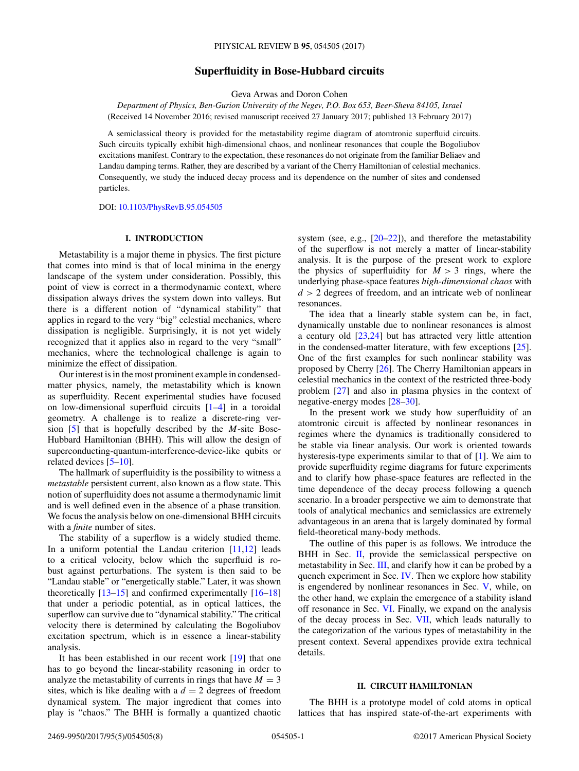# **Superfluidity in Bose-Hubbard circuits**

Geva Arwas and Doron Cohen

*Department of Physics, Ben-Gurion University of the Negev, P.O. Box 653, Beer-Sheva 84105, Israel* (Received 14 November 2016; revised manuscript received 27 January 2017; published 13 February 2017)

A semiclassical theory is provided for the metastability regime diagram of atomtronic superfluid circuits. Such circuits typically exhibit high-dimensional chaos, and nonlinear resonances that couple the Bogoliubov excitations manifest. Contrary to the expectation, these resonances do not originate from the familiar Beliaev and Landau damping terms. Rather, they are described by a variant of the Cherry Hamiltonian of celestial mechanics. Consequently, we study the induced decay process and its dependence on the number of sites and condensed particles.

DOI: [10.1103/PhysRevB.95.054505](https://doi.org/10.1103/PhysRevB.95.054505)

## **I. INTRODUCTION**

Metastability is a major theme in physics. The first picture that comes into mind is that of local minima in the energy landscape of the system under consideration. Possibly, this point of view is correct in a thermodynamic context, where dissipation always drives the system down into valleys. But there is a different notion of "dynamical stability" that applies in regard to the very "big" celestial mechanics, where dissipation is negligible. Surprisingly, it is not yet widely recognized that it applies also in regard to the very "small" mechanics, where the technological challenge is again to minimize the effect of dissipation.

Our interest is in the most prominent example in condensedmatter physics, namely, the metastability which is known as superfluidity. Recent experimental studies have focused on low-dimensional superfluid circuits [\[1–4\]](#page-6-0) in a toroidal geometry. A challenge is to realize a discrete-ring version [\[5\]](#page-6-0) that is hopefully described by the *M*-site Bose-Hubbard Hamiltonian (BHH). This will allow the design of superconducting-quantum-interference-device-like qubits or related devices [\[5–10\]](#page-6-0).

The hallmark of superfluidity is the possibility to witness a *metastable* persistent current, also known as a flow state. This notion of superfluidity does not assume a thermodynamic limit and is well defined even in the absence of a phase transition. We focus the analysis below on one-dimensional BHH circuits with a *finite* number of sites.

The stability of a superflow is a widely studied theme. In a uniform potential the Landau criterion [\[11,12\]](#page-6-0) leads to a critical velocity, below which the superfluid is robust against perturbations. The system is then said to be "Landau stable" or "energetically stable." Later, it was shown theoretically [\[13–15\]](#page-6-0) and confirmed experimentally [\[16–](#page-6-0)[18\]](#page-7-0) that under a periodic potential, as in optical lattices, the superflow can survive due to "dynamical stability." The critical velocity there is determined by calculating the Bogoliubov excitation spectrum, which is in essence a linear-stability analysis.

It has been established in our recent work [\[19\]](#page-7-0) that one has to go beyond the linear-stability reasoning in order to analyze the metastability of currents in rings that have  $M = 3$ sites, which is like dealing with a  $d = 2$  degrees of freedom dynamical system. The major ingredient that comes into play is "chaos." The BHH is formally a quantized chaotic system (see, e.g.,  $[20-22]$ ), and therefore the metastability of the superflow is not merely a matter of linear-stability analysis. It is the purpose of the present work to explore the physics of superfluidity for  $M > 3$  rings, where the underlying phase-space features *high-dimensional chaos* with *d >* 2 degrees of freedom, and an intricate web of nonlinear resonances.

The idea that a linearly stable system can be, in fact, dynamically unstable due to nonlinear resonances is almost a century old [\[23,24\]](#page-7-0) but has attracted very little attention in the condensed-matter literature, with few exceptions  $[25]$ . One of the first examples for such nonlinear stability was proposed by Cherry [\[26\]](#page-7-0). The Cherry Hamiltonian appears in celestial mechanics in the context of the restricted three-body problem [\[27\]](#page-7-0) and also in plasma physics in the context of negative-energy modes [\[28–30\]](#page-7-0).

In the present work we study how superfluidity of an atomtronic circuit is affected by nonlinear resonances in regimes where the dynamics is traditionally considered to be stable via linear analysis. Our work is oriented towards hysteresis-type experiments similar to that of [\[1\]](#page-6-0). We aim to provide superfluidity regime diagrams for future experiments and to clarify how phase-space features are reflected in the time dependence of the decay process following a quench scenario. In a broader perspective we aim to demonstrate that tools of analytical mechanics and semiclassics are extremely advantageous in an arena that is largely dominated by formal field-theoretical many-body methods.

The outline of this paper is as follows. We introduce the BHH in Sec. II, provide the semiclassical perspective on metastability in Sec. [III,](#page-1-0) and clarify how it can be probed by a quench experiment in Sec. [IV.](#page-1-0) Then we explore how stability is engendered by nonlinear resonances in Sec. [V,](#page-2-0) while, on the other hand, we explain the emergence of a stability island off resonance in Sec. [VI.](#page-3-0) Finally, we expand on the analysis of the decay process in Sec. [VII,](#page-4-0) which leads naturally to the categorization of the various types of metastability in the present context. Several appendixes provide extra technical details.

## **II. CIRCUIT HAMILTONIAN**

The BHH is a prototype model of cold atoms in optical lattices that has inspired state-of-the-art experiments with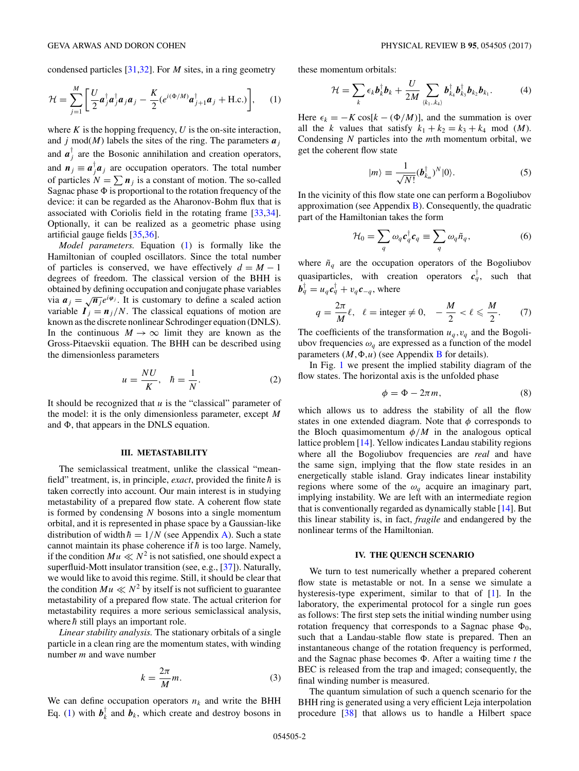<span id="page-1-0"></span>condensed particles [\[31,32\]](#page-7-0). For *M* sites, in a ring geometry

$$
\mathcal{H} = \sum_{j=1}^{M} \left[ \frac{U}{2} \boldsymbol{a}_{j}^{\dagger} \boldsymbol{a}_{j}^{\dagger} \boldsymbol{a}_{j} \boldsymbol{a}_{j} - \frac{K}{2} (e^{i(\Phi/M)} \boldsymbol{a}_{j+1}^{\dagger} \boldsymbol{a}_{j} + \text{H.c.}) \right], \quad (1)
$$

where  $K$  is the hopping frequency,  $U$  is the on-site interaction, and *j* mod(*M*) labels the sites of the ring. The parameters  $a_j$ and  $a_j^{\dagger}$  are the Bosonic annihilation and creation operators, and  $n_j \equiv a_j^{\dagger} a_j$  are occupation operators. The total number of particles  $N = \sum n_j$  is a constant of motion. The so-called Sagnac phase  $\Phi$  is proportional to the rotation frequency of the device: it can be regarded as the Aharonov-Bohm flux that is associated with Coriolis field in the rotating frame [\[33,34\]](#page-7-0). Optionally, it can be realized as a geometric phase using artificial gauge fields [\[35,36\]](#page-7-0).

*Model parameters.* Equation (1) is formally like the Hamiltonian of coupled oscillators. Since the total number of particles is conserved, we have effectively  $d = M - 1$ degrees of freedom. The classical version of the BHH is obtained by defining occupation and conjugate phase variables via  $a_j = \sqrt{n_j} e^{i\varphi_j}$ . It is customary to define a scaled action variable  $I_j = n_j/N$ . The classical equations of motion are known as the discrete nonlinear Schrodinger equation (DNLS). In the continuous  $M \to \infty$  limit they are known as the Gross-Pitaevskii equation. The BHH can be described using the dimensionless parameters

$$
u = \frac{NU}{K}, \quad \hbar = \frac{1}{N}.
$$
 (2)

It should be recognized that *u* is the "classical" parameter of the model: it is the only dimensionless parameter, except *M* and  $\Phi$ , that appears in the DNLS equation.

## **III. METASTABILITY**

The semiclassical treatment, unlike the classical "meanfield" treatment, is, in principle, *exact*, provided the finite  $\hbar$  is taken correctly into account. Our main interest is in studying metastability of a prepared flow state. A coherent flow state is formed by condensing *N* bosons into a single momentum orbital, and it is represented in phase space by a Gaussian-like distribution of width  $\hbar = 1/N$  (see Appendix [A\)](#page-5-0). Such a state cannot maintain its phase coherence if  $\hbar$  is too large. Namely, if the condition  $Mu \ll N^2$  is not satisfied, one should expect a superfluid-Mott insulator transition (see, e.g., [\[37\]](#page-7-0)). Naturally, we would like to avoid this regime. Still, it should be clear that the condition  $Mu \ll N^2$  by itself is not sufficient to guarantee metastability of a prepared flow state. The actual criterion for metastability requires a more serious semiclassical analysis, where  $\hbar$  still plays an important role.

*Linear stability analysis.* The stationary orbitals of a single particle in a clean ring are the momentum states, with winding number *m* and wave number

$$
k = \frac{2\pi}{M}m.\tag{3}
$$

We can define occupation operators  $n_k$  and write the BHH Eq. (1) with  $b_k^{\dagger}$  and  $b_k$ , which create and destroy bosons in

these momentum orbitals:

$$
\mathcal{H} = \sum_{k} \epsilon_k \boldsymbol{b}_k^{\dagger} \boldsymbol{b}_k + \frac{U}{2M} \sum_{\langle k_1, k_4 \rangle} \boldsymbol{b}_{k_4}^{\dagger} \boldsymbol{b}_{k_3}^{\dagger} \boldsymbol{b}_{k_2} \boldsymbol{b}_{k_1}.
$$
 (4)

Here  $\epsilon_k = -K \cos[k - (\Phi/M)]$ , and the summation is over all the *k* values that satisfy  $k_1 + k_2 = k_3 + k_4 \mod (M)$ . Condensing *N* particles into the *m*th momentum orbital, we get the coherent flow state

$$
|m\rangle \equiv \frac{1}{\sqrt{N!}} (\boldsymbol{b}_{k_m}^\dagger)^N |0\rangle.
$$
 (5)

In the vicinity of this flow state one can perform a Bogoliubov approximation (see Appendix  $B$ ). Consequently, the quadratic part of the Hamiltonian takes the form

$$
\mathcal{H}_0 = \sum_q \omega_q c_q^{\dagger} c_q \equiv \sum_q \omega_q \tilde{n}_q,\tag{6}
$$

where  $\tilde{n}_q$  are the occupation operators of the Bogoliubov quasiparticles, with creation operators  $c_q^{\dagger}$ , such that  $\bm{b}_q^{\intercal} = u_q \bm{c}_q^{\intercal} + v_q \bm{c}_{-q}^{\intercal}$ , where

$$
q = \frac{2\pi}{M}\ell, \quad \ell = \text{integer} \neq 0, \quad -\frac{M}{2} < \ell \leq \frac{M}{2}.\tag{7}
$$

The coefficients of the transformation  $u_q$ ,  $v_q$  and the Bogoliubov frequencies  $\omega_q$  are expressed as a function of the model parameters  $(M, \Phi, u)$  (see Appendix [B](#page-5-0) for details).

In Fig. [1](#page-2-0) we present the implied stability diagram of the flow states. The horizontal axis is the unfolded phase

$$
\phi = \Phi - 2\pi m,\tag{8}
$$

which allows us to address the stability of all the flow states in one extended diagram. Note that *φ* corresponds to the Bloch quasimomentum  $\phi/M$  in the analogous optical lattice problem [\[14\]](#page-6-0). Yellow indicates Landau stability regions where all the Bogoliubov frequencies are *real* and have the same sign, implying that the flow state resides in an energetically stable island. Gray indicates linear instability regions where some of the *ωq* acquire an imaginary part, implying instability. We are left with an intermediate region that is conventionally regarded as dynamically stable [\[14\]](#page-6-0). But this linear stability is, in fact, *fragile* and endangered by the nonlinear terms of the Hamiltonian.

#### **IV. THE QUENCH SCENARIO**

We turn to test numerically whether a prepared coherent flow state is metastable or not. In a sense we simulate a hysteresis-type experiment, similar to that of [\[1\]](#page-6-0). In the laboratory, the experimental protocol for a single run goes as follows: The first step sets the initial winding number using rotation frequency that corresponds to a Sagnac phase  $\Phi_0$ , such that a Landau-stable flow state is prepared. Then an instantaneous change of the rotation frequency is performed, and the Sagnac phase becomes  $\Phi$ . After a waiting time *t* the BEC is released from the trap and imaged; consequently, the final winding number is measured.

The quantum simulation of such a quench scenario for the BHH ring is generated using a very efficient Leja interpolation procedure [\[38\]](#page-7-0) that allows us to handle a Hilbert space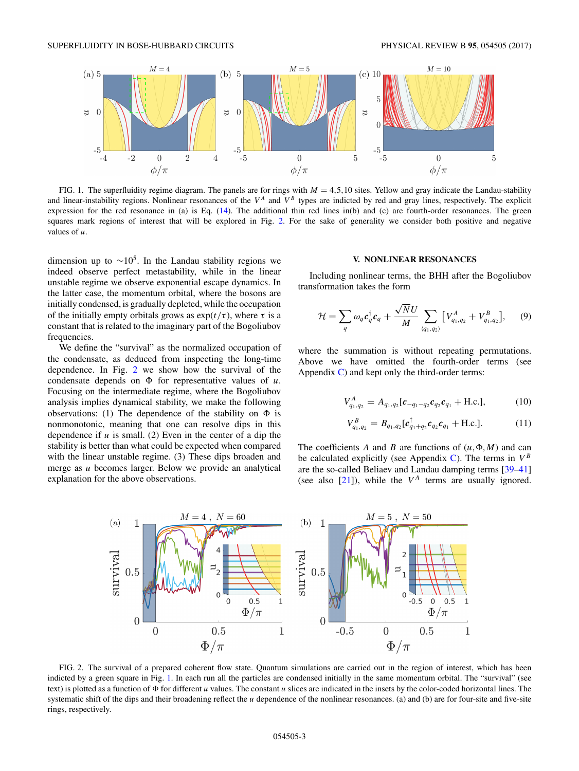<span id="page-2-0"></span>

FIG. 1. The superfluidity regime diagram. The panels are for rings with  $M = 4,5,10$  sites. Yellow and gray indicate the Landau-stability and linear-instability regions. Nonlinear resonances of the  $V^A$  and  $V^B$  types are indicted by red and gray lines, respectively. The explicit expression for the red resonance in (a) is Eq. [\(14\)](#page-3-0). The additional thin red lines in(b) and (c) are fourth-order resonances. The green squares mark regions of interest that will be explored in Fig. 2. For the sake of generality we consider both positive and negative values of *u*.

dimension up to  $\sim 10^5$ . In the Landau stability regions we indeed observe perfect metastability, while in the linear unstable regime we observe exponential escape dynamics. In the latter case, the momentum orbital, where the bosons are initially condensed, is gradually depleted, while the occupation of the initially empty orbitals grows as  $exp(t/\tau)$ , where  $\tau$  is a constant that is related to the imaginary part of the Bogoliubov frequencies.

We define the "survival" as the normalized occupation of the condensate, as deduced from inspecting the long-time dependence. In Fig. 2 we show how the survival of the condensate depends on  $\Phi$  for representative values of  $u$ . Focusing on the intermediate regime, where the Bogoliubov analysis implies dynamical stability, we make the following observations: (1) The dependence of the stability on  $\Phi$  is nonmonotonic, meaning that one can resolve dips in this dependence if *u* is small. (2) Even in the center of a dip the stability is better than what could be expected when compared with the linear unstable regime. (3) These dips broaden and merge as *u* becomes larger. Below we provide an analytical explanation for the above observations.

#### **V. NONLINEAR RESONANCES**

Including nonlinear terms, the BHH after the Bogoliubov transformation takes the form

$$
\mathcal{H} = \sum_{q} \omega_{q} c_{q}^{\dagger} c_{q} + \frac{\sqrt{N} U}{M} \sum_{\langle q_{1}, q_{2} \rangle} \left[ V_{q_{1}, q_{2}}^{A} + V_{q_{1}, q_{2}}^{B} \right], \quad (9)
$$

where the summation is without repeating permutations. Above we have omitted the fourth-order terms (see Appendix  $\bf{C}$ ) and kept only the third-order terms:

$$
V_{q_1,q_2}^A = A_{q_1,q_2}[\mathbf{c}_{-q_1-q_2}\mathbf{c}_{q_2}\mathbf{c}_{q_1} + \text{H.c.}],
$$
 (10)

$$
V_{q_1,q_2}^B = B_{q_1,q_2} [c_{q_1+q_2}^{\dagger} c_{q_2} c_{q_1} + \text{H.c.}]. \tag{11}
$$

The coefficients A and B are functions of  $(u, \Phi, M)$  and can be calculated explicitly (see Appendix [C\)](#page-5-0). The terms in  $V^B$ are the so-called Beliaev and Landau damping terms [\[39–41\]](#page-7-0) (see also  $[21]$ ), while the  $V^A$  terms are usually ignored.



FIG. 2. The survival of a prepared coherent flow state. Quantum simulations are carried out in the region of interest, which has been indicted by a green square in Fig. 1. In each run all the particles are condensed initially in the same momentum orbital. The "survival" (see text) is plotted as a function of  $\Phi$  for different *u* values. The constant *u* slices are indicated in the insets by the color-coded horizontal lines. The systematic shift of the dips and their broadening reflect the *u* dependence of the nonlinear resonances. (a) and (b) are for four-site and five-site rings, respectively.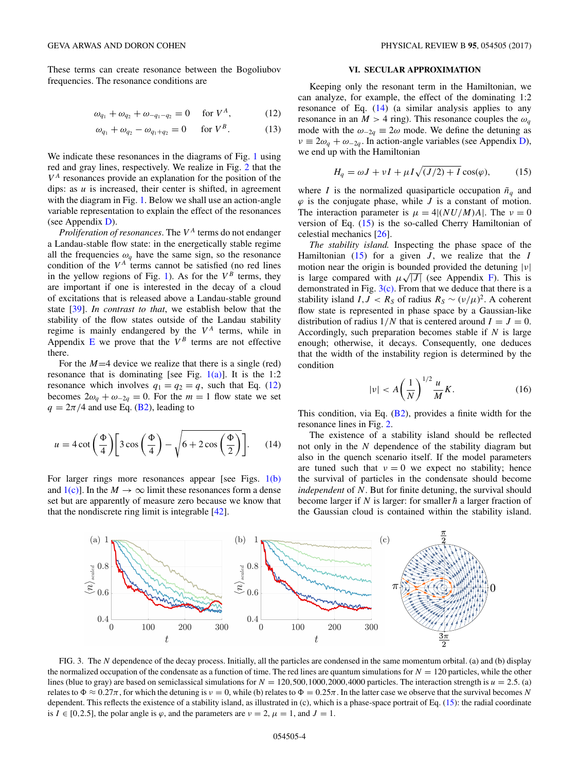<span id="page-3-0"></span>These terms can create resonance between the Bogoliubov frequencies. The resonance conditions are

$$
\omega_{q_1} + \omega_{q_2} + \omega_{-q_1 - q_2} = 0 \quad \text{for } V^A,
$$
 (12)

$$
\omega_{q_1} + \omega_{q_2} - \omega_{q_1 + q_2} = 0 \quad \text{for } V^B. \tag{13}
$$

We indicate these resonances in the diagrams of Fig. [1](#page-2-0) using red and gray lines, respectively. We realize in Fig. [2](#page-2-0) that the  $V<sup>A</sup>$  resonances provide an explanation for the position of the dips: as *u* is increased, their center is shifted, in agreement with the diagram in Fig. [1.](#page-2-0) Below we shall use an action-angle variable representation to explain the effect of the resonances (see Appendix [D\)](#page-6-0).

*Proliferation of resonances.* The  $V^A$  terms do not endanger a Landau-stable flow state: in the energetically stable regime all the frequencies  $\omega_q$  have the same sign, so the resonance condition of the  $V^A$  terms cannot be satisfied (no red lines in the yellow regions of Fig. [1\)](#page-2-0). As for the  $V^B$  terms, they are important if one is interested in the decay of a cloud of excitations that is released above a Landau-stable ground state [\[39\]](#page-7-0). *In contrast to that*, we establish below that the stability of the flow states outside of the Landau stability regime is mainly endangered by the  $V^A$  terms, while in Appendix  $E$  we prove that the  $V^B$  terms are not effective there.

For the  $M=4$  device we realize that there is a single (red) resonance that is dominating [see Fig.  $1(a)$ ]. It is the 1:2 resonance which involves  $q_1 = q_2 = q$ , such that Eq. (12) becomes  $2\omega_q + \omega_{-2q} = 0$ . For the  $m = 1$  flow state we set  $q = 2\pi/4$  and use Eq. [\(B2\)](#page-5-0), leading to

$$
u = 4 \cot\left(\frac{\Phi}{4}\right) \left[3 \cos\left(\frac{\Phi}{4}\right) - \sqrt{6 + 2 \cos\left(\frac{\Phi}{2}\right)}\right].
$$
 (14)

For larger rings more resonances appear [see Figs. [1\(b\)](#page-2-0) and  $1(c)$ . In the  $M \to \infty$  limit these resonances form a dense set but are apparently of measure zero because we know that that the nondiscrete ring limit is integrable [\[42\]](#page-7-0).

#### **VI. SECULAR APPROXIMATION**

Keeping only the resonant term in the Hamiltonian, we can analyze, for example, the effect of the dominating 1:2 resonance of Eq. (14) (a similar analysis applies to any resonance in an  $M > 4$  ring). This resonance couples the  $\omega_q$ mode with the  $\omega_{-2q} \equiv 2\omega$  mode. We define the detuning as  $\nu \equiv 2\omega_q + \omega_{-2q}$ . In action-angle variables (see Appendix [D\)](#page-6-0), we end up with the Hamiltonian

$$
H_q = \omega J + vI + \mu I \sqrt{(J/2) + I} \cos(\varphi), \tag{15}
$$

where *I* is the normalized quasiparticle occupation  $\tilde{n}_q$  and  $\varphi$  is the conjugate phase, while *J* is a constant of motion. The interaction parameter is  $\mu = 4|(NU/M)A|$ . The  $\nu = 0$ version of Eq. (15) is the so-called Cherry Hamiltonian of celestial mechanics [\[26\]](#page-7-0).

*The stability island.* Inspecting the phase space of the Hamiltonian  $(15)$  for a given *J*, we realize that the *I* motion near the origin is bounded provided the detuning |*ν*| is large compared with  $\mu\sqrt{|J|}$  (see Appendix [F\)](#page-6-0). This is demonstrated in Fig.  $3(c)$ . From that we deduce that there is a stability island *I, J* <  $R_S$  of radius  $R_S \sim (v/\mu)^2$ . A coherent flow state is represented in phase space by a Gaussian-like distribution of radius  $1/N$  that is centered around  $I = J = 0$ . Accordingly, such preparation becomes stable if *N* is large enough; otherwise, it decays. Consequently, one deduces that the width of the instability region is determined by the condition

$$
|\nu| < A \left(\frac{1}{N}\right)^{1/2} \frac{u}{M} K. \tag{16}
$$

This condition, via Eq. [\(B2\)](#page-5-0), provides a finite width for the resonance lines in Fig. [2.](#page-2-0)

The existence of a stability island should be reflected not only in the *N* dependence of the stability diagram but also in the quench scenario itself. If the model parameters are tuned such that  $v = 0$  we expect no stability; hence the survival of particles in the condensate should become *independent* of *N*. But for finite detuning, the survival should become larger if  $N$  is larger: for smaller  $\hbar$  a larger fraction of the Gaussian cloud is contained within the stability island.



FIG. 3. The *N* dependence of the decay process. Initially, all the particles are condensed in the same momentum orbital. (a) and (b) display the normalized occupation of the condensate as a function of time. The red lines are quantum simulations for  $N = 120$  particles, while the other lines (blue to gray) are based on semiclassical simulations for  $N = 120,500,1000,2000,4000$  particles. The interaction strength is  $u = 2.5$ . (a) relates to  $\Phi \approx 0.27\pi$ , for which the detuning is  $\nu = 0$ , while (b) relates to  $\Phi = 0.25\pi$ . In the latter case we observe that the survival becomes *N* dependent. This reflects the existence of a stability island, as illustrated in (c), which is a phase-space portrait of Eq. (15): the radial coordinate is  $I \in [0, 2.5]$ , the polar angle is  $\varphi$ , and the parameters are  $\nu = 2$ ,  $\mu = 1$ , and  $J = 1$ .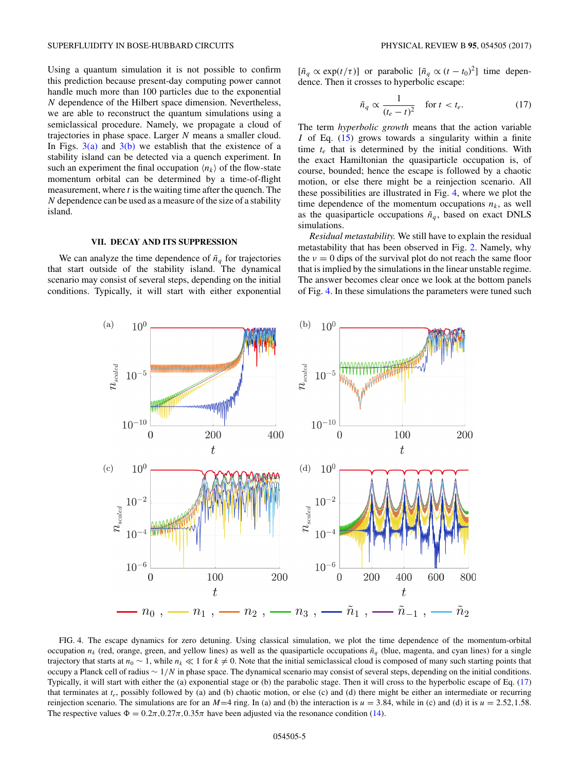<span id="page-4-0"></span>Using a quantum simulation it is not possible to confirm this prediction because present-day computing power cannot handle much more than 100 particles due to the exponential *N* dependence of the Hilbert space dimension. Nevertheless, we are able to reconstruct the quantum simulations using a semiclassical procedure. Namely, we propagate a cloud of trajectories in phase space. Larger *N* means a smaller cloud. In Figs.  $3(a)$  and  $3(b)$  we establish that the existence of a stability island can be detected via a quench experiment. In such an experiment the final occupation  $\langle n_k \rangle$  of the flow-state momentum orbital can be determined by a time-of-flight measurement, where *t* is the waiting time after the quench. The *N* dependence can be used as a measure of the size of a stability island.

## **VII. DECAY AND ITS SUPPRESSION**

We can analyze the time dependence of  $\tilde{n}_q$  for trajectories that start outside of the stability island. The dynamical scenario may consist of several steps, depending on the initial conditions. Typically, it will start with either exponential

 $[\tilde{n}_q \propto \exp(t/\tau)]$  or parabolic  $[\tilde{n}_q \propto (t - t_0)^2]$  time dependence. Then it crosses to hyperbolic escape:

$$
\tilde{n}_q \propto \frac{1}{(t_e - t)^2} \quad \text{for } t < t_e. \tag{17}
$$

The term *hyperbolic growth* means that the action variable *I* of Eq. [\(15\)](#page-3-0) grows towards a singularity within a finite time *te* that is determined by the initial conditions. With the exact Hamiltonian the quasiparticle occupation is, of course, bounded; hence the escape is followed by a chaotic motion, or else there might be a reinjection scenario. All these possibilities are illustrated in Fig. 4, where we plot the time dependence of the momentum occupations  $n_k$ , as well as the quasiparticle occupations  $\tilde{n}_q$ , based on exact DNLS simulations.

*Residual metastability.* We still have to explain the residual metastability that has been observed in Fig. [2.](#page-2-0) Namely, why the  $v = 0$  dips of the survival plot do not reach the same floor that is implied by the simulations in the linear unstable regime. The answer becomes clear once we look at the bottom panels of Fig. 4. In these simulations the parameters were tuned such



FIG. 4. The escape dynamics for zero detuning. Using classical simulation, we plot the time dependence of the momentum-orbital occupation  $n_k$  (red, orange, green, and yellow lines) as well as the quasiparticle occupations  $\tilde{n}_q$  (blue, magenta, and cyan lines) for a single trajectory that starts at  $n_0 \sim 1$ , while  $n_k \ll 1$  for  $k \neq 0$ . Note that the initial semiclassical cloud is composed of many such starting points that occupy a Planck cell of radius ∼ 1*/N* in phase space. The dynamical scenario may consist of several steps, depending on the initial conditions. Typically, it will start with either the (a) exponential stage or (b) the parabolic stage. Then it will cross to the hyperbolic escape of Eq. (17) that terminates at *te*, possibly followed by (a) and (b) chaotic motion, or else (c) and (d) there might be either an intermediate or recurring reinjection scenario. The simulations are for an  $M=4$  ring. In (a) and (b) the interaction is  $u = 3.84$ , while in (c) and (d) it is  $u = 2.52, 1.58$ . The respective values  $\Phi = 0.2\pi, 0.27\pi, 0.35\pi$  have been adjusted via the resonance condition [\(14\)](#page-3-0).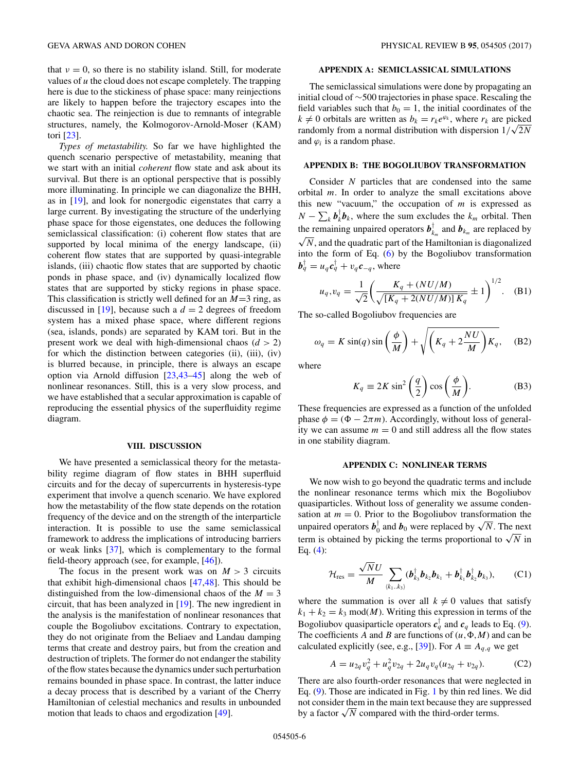<span id="page-5-0"></span>that  $\nu = 0$ , so there is no stability island. Still, for moderate values of *u* the cloud does not escape completely. The trapping here is due to the stickiness of phase space: many reinjections are likely to happen before the trajectory escapes into the chaotic sea. The reinjection is due to remnants of integrable structures, namely, the Kolmogorov-Arnold-Moser (KAM) tori [\[23\]](#page-7-0).

*Types of metastability.* So far we have highlighted the quench scenario perspective of metastability, meaning that we start with an initial *coherent* flow state and ask about its survival. But there is an optional perspective that is possibly more illuminating. In principle we can diagonalize the BHH, as in [\[19\]](#page-7-0), and look for nonergodic eigenstates that carry a large current. By investigating the structure of the underlying phase space for those eigenstates, one deduces the following semiclassical classification: (i) coherent flow states that are supported by local minima of the energy landscape, (ii) coherent flow states that are supported by quasi-integrable islands, (iii) chaotic flow states that are supported by chaotic ponds in phase space, and (iv) dynamically localized flow states that are supported by sticky regions in phase space. This classification is strictly well defined for an *M*=3 ring, as discussed in [\[19\]](#page-7-0), because such a  $d = 2$  degrees of freedom system has a mixed phase space, where different regions (sea, islands, ponds) are separated by KAM tori. But in the present work we deal with high-dimensional chaos (*d >* 2) for which the distinction between categories (ii), (iii), (iv) is blurred because, in principle, there is always an escape option via Arnold diffusion [\[23,43–45\]](#page-7-0) along the web of nonlinear resonances. Still, this is a very slow process, and we have established that a secular approximation is capable of reproducing the essential physics of the superfluidity regime diagram.

#### **VIII. DISCUSSION**

We have presented a semiclassical theory for the metastability regime diagram of flow states in BHH superfluid circuits and for the decay of supercurrents in hysteresis-type experiment that involve a quench scenario. We have explored how the metastability of the flow state depends on the rotation frequency of the device and on the strength of the interparticle interaction. It is possible to use the same semiclassical framework to address the implications of introducing barriers or weak links [\[37\]](#page-7-0), which is complementary to the formal field-theory approach (see, for example, [\[46\]](#page-7-0)).

The focus in the present work was on  $M > 3$  circuits that exhibit high-dimensional chaos [\[47,48\]](#page-7-0). This should be distinguished from the low-dimensional chaos of the  $M = 3$ circuit, that has been analyzed in [\[19\]](#page-7-0). The new ingredient in the analysis is the manifestation of nonlinear resonances that couple the Bogoliubov excitations. Contrary to expectation, they do not originate from the Beliaev and Landau damping terms that create and destroy pairs, but from the creation and destruction of triplets. The former do not endanger the stability of the flow states because the dynamics under such perturbation remains bounded in phase space. In contrast, the latter induce a decay process that is described by a variant of the Cherry Hamiltonian of celestial mechanics and results in unbounded motion that leads to chaos and ergodization [\[49\]](#page-7-0).

### **APPENDIX A: SEMICLASSICAL SIMULATIONS**

The semiclassical simulations were done by propagating an initial cloud of ∼500 trajectories in phase space. Rescaling the field variables such that  $b_0 = 1$ , the initial coordinates of the  $k \neq 0$  orbitals are written as  $b_k = r_k e^{\varphi_k}$ , where  $r_k$  are picked randomly from a normal distribution with dispersion  $1/\sqrt{2N}$ and  $\varphi_i$  is a random phase.

## **APPENDIX B: THE BOGOLIUBOV TRANSFORMATION**

Consider *N* particles that are condensed into the same orbital *m*. In order to analyze the small excitations above this new "vacuum," the occupation of *m* is expressed as  $N - \sum_{k} b_{k}^{\dagger} b_{k}$ , where the sum excludes the  $k_{m}$  orbital. Then the remaining unpaired operators  $\boldsymbol{b}_{k_m}^{\dagger}$  and  $\boldsymbol{b}_{k_m}$  are replaced by  $\sqrt{N}$ , and the quadratic part of the Hamiltonian is diagonalized into the form of Eq. [\(6\)](#page-1-0) by the Bogoliubov transformation  $\boldsymbol{b}_q^{\intercal} = u_q \boldsymbol{c}_q^{\intercal} + v_q \boldsymbol{c}_{-q}^{\intercal}$ , where

$$
u_q, v_q = \frac{1}{\sqrt{2}} \left( \frac{K_q + (NU/M)}{\sqrt{[K_q + 2(NU/M)] K_q}} \pm 1 \right)^{1/2}.
$$
 (B1)

The so-called Bogoliubov frequencies are

$$
\omega_q = K \sin(q) \sin\left(\frac{\phi}{M}\right) + \sqrt{\left(K_q + 2\frac{NU}{M}\right)K_q}, \quad (B2)
$$

where

$$
K_q \equiv 2K \sin^2\left(\frac{q}{2}\right) \cos\left(\frac{\phi}{M}\right). \tag{B3}
$$

These frequencies are expressed as a function of the unfolded phase  $\phi = (\Phi - 2\pi m)$ . Accordingly, without loss of generality we can assume  $m = 0$  and still address all the flow states in one stability diagram.

#### **APPENDIX C: NONLINEAR TERMS**

We now wish to go beyond the quadratic terms and include the nonlinear resonance terms which mix the Bogoliubov quasiparticles. Without loss of generality we assume condensation at  $m = 0$ . Prior to the Bogoliubov transformation the unpaired operators  $\boldsymbol{b}_0^{\dagger}$  and  $\boldsymbol{b}_0$  were replaced by  $\sqrt{N}$ . The next term is obtained by picking the terms proportional to  $\sqrt{N}$  in Eq.  $(4)$ :

$$
\mathcal{H}_{\text{res}} = \frac{\sqrt{N}U}{M} \sum_{\langle k_1..k_3 \rangle} (\boldsymbol{b}_{k_3}^{\dagger} \boldsymbol{b}_{k_2} \boldsymbol{b}_{k_1} + \boldsymbol{b}_{k_1}^{\dagger} \boldsymbol{b}_{k_2}^{\dagger} \boldsymbol{b}_{k_3}), \qquad \text{(C1)}
$$

where the summation is over all  $k \neq 0$  values that satisfy  $k_1 + k_2 = k_3 \mod M$ . Writing this expression in terms of the Bogoliubov quasiparticle operators  $c_q^{\dagger}$  and  $c_q$  leads to Eq. [\(9\)](#page-2-0). The coefficients A and B are functions of  $(u, \Phi, M)$  and can be calculated explicitly (see, e.g., [\[39\]](#page-7-0)). For  $A \equiv A_{q,q}$  we get

$$
A = u_{2q}v_q^2 + u_q^2 v_{2q} + 2u_q v_q (u_{2q} + v_{2q}).
$$
 (C2)

There are also fourth-order resonances that were neglected in Eq. [\(9\)](#page-2-0). Those are indicated in Fig. [1](#page-2-0) by thin red lines. We did not consider them in the main text because they are suppressed by a factor  $\sqrt{N}$  compared with the third-order terms.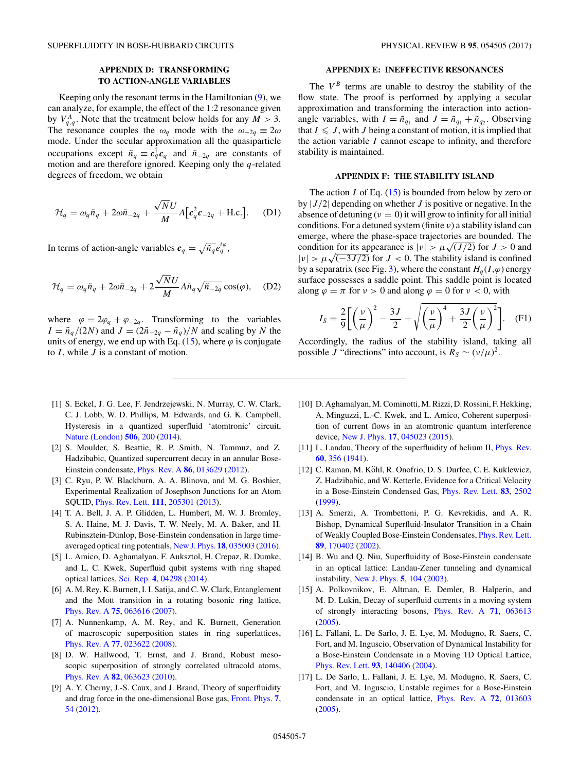# **APPENDIX D: TRANSFORMING**

## **TO ACTION-ANGLE VARIABLES**

<span id="page-6-0"></span>Keeping only the resonant terms in the Hamiltonian [\(9\)](#page-2-0), we can analyze, for example, the effect of the 1:2 resonance given by  $V_{q,q}^A$ . Note that the treatment below holds for any  $M > 3$ . The resonance couples the  $\omega_q$  mode with the  $\omega_{-2q} \equiv 2\omega$ mode. Under the secular approximation all the quasiparticle occupations except  $\tilde{n}_q \equiv c_q^{\dagger} c_q$  and  $\tilde{n}_{-2q}$  are constants of motion and are therefore ignored. Keeping only the *q*-related degrees of freedom, we obtain

$$
\mathcal{H}_q = \omega_q \tilde{n}_q + 2\omega \tilde{n}_{-2q} + \frac{\sqrt{N}U}{M} A \left[ c_q^2 c_{-2q} + \text{H.c.} \right]. \tag{D1}
$$

In terms of action-angle variables  $c_q = \sqrt{\tilde{n}_q} e_q^{i\varphi}$ ,

$$
\mathcal{H}_q = \omega_q \tilde{n}_q + 2\omega \tilde{n}_{-2q} + 2\frac{\sqrt{N}U}{M} A \tilde{n}_q \sqrt{\tilde{n}_{-2q}} \cos(\varphi), \quad (D2)
$$

where  $\varphi = 2\varphi_q + \varphi_{-2q}$ . Transforming to the variables  $I = \tilde{n}_q/(2N)$  and  $J = (2\tilde{n}_{-2q} - \tilde{n}_q)/N$  and scaling by *N* the units of energy, we end up with Eq.  $(15)$ , where  $\varphi$  is conjugate to *I* , while *J* is a constant of motion.

## **APPENDIX E: INEFFECTIVE RESONANCES**

The  $V^B$  terms are unable to destroy the stability of the flow state. The proof is performed by applying a secular approximation and transforming the interaction into actionangle variables, with  $I = \tilde{n}_{q_1}$  and  $J = \tilde{n}_{q_1} + \tilde{n}_{q_2}$ . Observing that  $I \leqslant J$ , with *J* being a constant of motion, it is implied that the action variable *I* cannot escape to infinity, and therefore stability is maintained.

## **APPENDIX F: THE STABILITY ISLAND**

The action *I* of Eq.  $(15)$  is bounded from below by zero or by |*J/*2| depending on whether *J* is positive or negative. In the absence of detuning  $(v = 0)$  it will grow to infinity for all initial conditions. For a detuned system (finite *ν*) a stability island can emerge, where the phase-space trajectories are bounded. The condition for its appearance is  $|v| > \mu \sqrt{J/2}$  for  $J > 0$  and  $|v| > \mu \sqrt{(-3J/2)}$  for  $J < 0$ . The stability island is confined by a separatrix (see Fig. [3\)](#page-3-0), where the constant  $H<sub>a</sub>(I,\varphi)$  energy surface possesses a saddle point. This saddle point is located along  $\varphi = \pi$  for  $\nu > 0$  and along  $\varphi = 0$  for  $\nu < 0$ , with

$$
I_S = \frac{2}{9} \left[ \left( \frac{\nu}{\mu} \right)^2 - \frac{3J}{2} + \sqrt{\left( \frac{\nu}{\mu} \right)^4 + \frac{3J}{2} \left( \frac{\nu}{\mu} \right)^2} \right].
$$
 (F1)

Accordingly, the radius of the stability island, taking all possible *J* "directions" into account, is  $R_S \sim (v/\mu)^2$ .

- [1] S. Eckel, J. G. Lee, F. Jendrzejewski, N. Murray, C. W. Clark, C. J. Lobb, W. D. Phillips, M. Edwards, and G. K. Campbell, Hysteresis in a quantized superfluid 'atomtronic' circuit, [Nature \(London\)](https://doi.org/10.1038/nature12958) **[506](https://doi.org/10.1038/nature12958)**, [200](https://doi.org/10.1038/nature12958) [\(2014\)](https://doi.org/10.1038/nature12958).
- [2] S. Moulder, S. Beattie, R. P. Smith, N. Tammuz, and Z. Hadzibabic, Quantized supercurrent decay in an annular Bose-Einstein condensate, [Phys. Rev. A](https://doi.org/10.1103/PhysRevA.86.013629) **[86](https://doi.org/10.1103/PhysRevA.86.013629)**, [013629](https://doi.org/10.1103/PhysRevA.86.013629) [\(2012\)](https://doi.org/10.1103/PhysRevA.86.013629).
- [3] C. Ryu, P. W. Blackburn, A. A. Blinova, and M. G. Boshier, Experimental Realization of Josephson Junctions for an Atom SQUID, [Phys. Rev. Lett.](https://doi.org/10.1103/PhysRevLett.111.205301) **[111](https://doi.org/10.1103/PhysRevLett.111.205301)**, [205301](https://doi.org/10.1103/PhysRevLett.111.205301) [\(2013\)](https://doi.org/10.1103/PhysRevLett.111.205301).
- [4] T. A. Bell, J. A. P. Glidden, L. Humbert, M. W. J. Bromley, S. A. Haine, M. J. Davis, T. W. Neely, M. A. Baker, and H. Rubinsztein-Dunlop, Bose-Einstein condensation in large timeaveraged optical ring potentials, [New J. Phys.](https://doi.org/10.1088/1367-2630/18/3/035003) **[18](https://doi.org/10.1088/1367-2630/18/3/035003)**, [035003](https://doi.org/10.1088/1367-2630/18/3/035003) [\(2016\)](https://doi.org/10.1088/1367-2630/18/3/035003).
- [5] L. Amico, D. Aghamalyan, F. Auksztol, H. Crepaz, R. Dumke, and L. C. Kwek, Superfluid qubit systems with ring shaped optical lattices, [Sci. Rep.](https://doi.org/10.1038/srep04298) **[4](https://doi.org/10.1038/srep04298)**, [04298](https://doi.org/10.1038/srep04298) [\(2014\)](https://doi.org/10.1038/srep04298).
- [6] A. M. Rey, K. Burnett, I. I. Satija, and C. W. Clark, Entanglement and the Mott transition in a rotating bosonic ring lattice, [Phys. Rev. A](https://doi.org/10.1103/PhysRevA.75.063616) **[75](https://doi.org/10.1103/PhysRevA.75.063616)**, [063616](https://doi.org/10.1103/PhysRevA.75.063616) [\(2007\)](https://doi.org/10.1103/PhysRevA.75.063616).
- [7] A. Nunnenkamp, A. M. Rey, and K. Burnett, Generation of macroscopic superposition states in ring superlattices, [Phys. Rev. A](https://doi.org/10.1103/PhysRevA.77.023622) **[77](https://doi.org/10.1103/PhysRevA.77.023622)**, [023622](https://doi.org/10.1103/PhysRevA.77.023622) [\(2008\)](https://doi.org/10.1103/PhysRevA.77.023622).
- [8] D. W. Hallwood, T. Ernst, and J. Brand, Robust mesoscopic superposition of strongly correlated ultracold atoms, [Phys. Rev. A](https://doi.org/10.1103/PhysRevA.82.063623) **[82](https://doi.org/10.1103/PhysRevA.82.063623)**, [063623](https://doi.org/10.1103/PhysRevA.82.063623) [\(2010\)](https://doi.org/10.1103/PhysRevA.82.063623).
- [9] A. Y. Cherny, J.-S. Caux, and J. Brand, Theory of superfluidity and drag force in the one-dimensional Bose gas, [Front. Phys.](https://doi.org/10.1007/s11467-011-0211-2) **[7](https://doi.org/10.1007/s11467-011-0211-2)**, [54](https://doi.org/10.1007/s11467-011-0211-2) [\(2012\)](https://doi.org/10.1007/s11467-011-0211-2).
- [10] D. Aghamalyan, M. Cominotti, M. Rizzi, D. Rossini, F. Hekking, A. Minguzzi, L.-C. Kwek, and L. Amico, Coherent superposition of current flows in an atomtronic quantum interference device, [New J. Phys.](https://doi.org/10.1088/1367-2630/17/4/045023) **[17](https://doi.org/10.1088/1367-2630/17/4/045023)**, [045023](https://doi.org/10.1088/1367-2630/17/4/045023) [\(2015\)](https://doi.org/10.1088/1367-2630/17/4/045023).
- [11] L. Landau, Theory of the superfluidity of helium II, *[Phys. Rev.](https://doi.org/10.1103/PhysRev.60.356)* **[60](https://doi.org/10.1103/PhysRev.60.356)**, [356](https://doi.org/10.1103/PhysRev.60.356) [\(1941\)](https://doi.org/10.1103/PhysRev.60.356).
- [12] C. Raman, M. Köhl, R. Onofrio, D. S. Durfee, C. E. Kuklewicz, Z. Hadzibabic, and W. Ketterle, Evidence for a Critical Velocity in a Bose-Einstein Condensed Gas, [Phys. Rev. Lett.](https://doi.org/10.1103/PhysRevLett.83.2502) **[83](https://doi.org/10.1103/PhysRevLett.83.2502)**, [2502](https://doi.org/10.1103/PhysRevLett.83.2502) [\(1999\)](https://doi.org/10.1103/PhysRevLett.83.2502).
- [13] A. Smerzi, A. Trombettoni, P. G. Kevrekidis, and A. R. Bishop, Dynamical Superfluid-Insulator Transition in a Chain of Weakly Coupled Bose-Einstein Condensates, [Phys. Rev. Lett.](https://doi.org/10.1103/PhysRevLett.89.170402) **[89](https://doi.org/10.1103/PhysRevLett.89.170402)**, [170402](https://doi.org/10.1103/PhysRevLett.89.170402) [\(2002\)](https://doi.org/10.1103/PhysRevLett.89.170402).
- [14] B. Wu and Q. Niu, Superfluidity of Bose-Einstein condensate in an optical lattice: Landau-Zener tunneling and dynamical instability, [New J. Phys.](https://doi.org/10.1088/1367-2630/5/1/104) **[5](https://doi.org/10.1088/1367-2630/5/1/104)**, [104](https://doi.org/10.1088/1367-2630/5/1/104) [\(2003\)](https://doi.org/10.1088/1367-2630/5/1/104).
- [15] A. Polkovnikov, E. Altman, E. Demler, B. Halperin, and M. D. Lukin, Decay of superfluid currents in a moving system of strongly interacting bosons, [Phys. Rev. A](https://doi.org/10.1103/PhysRevA.71.063613) **[71](https://doi.org/10.1103/PhysRevA.71.063613)**, [063613](https://doi.org/10.1103/PhysRevA.71.063613) [\(2005\)](https://doi.org/10.1103/PhysRevA.71.063613).
- [16] L. Fallani, L. De Sarlo, J. E. Lye, M. Modugno, R. Saers, C. Fort, and M. Inguscio, Observation of Dynamical Instability for a Bose-Einstein Condensate in a Moving 1D Optical Lattice, [Phys. Rev. Lett.](https://doi.org/10.1103/PhysRevLett.93.140406) **[93](https://doi.org/10.1103/PhysRevLett.93.140406)**, [140406](https://doi.org/10.1103/PhysRevLett.93.140406) [\(2004\)](https://doi.org/10.1103/PhysRevLett.93.140406).
- [17] L. De Sarlo, L. Fallani, J. E. Lye, M. Modugno, R. Saers, C. Fort, and M. Inguscio, Unstable regimes for a Bose-Einstein condensate in an optical lattice, [Phys. Rev. A](https://doi.org/10.1103/PhysRevA.72.013603) **[72](https://doi.org/10.1103/PhysRevA.72.013603)**, [013603](https://doi.org/10.1103/PhysRevA.72.013603) [\(2005\)](https://doi.org/10.1103/PhysRevA.72.013603).